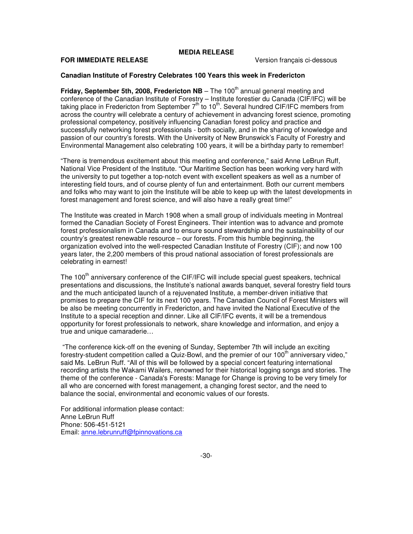# **MEDIA RELEASE**

# **FOR IMMEDIATE RELEASE Version français ci-dessous**

### **Canadian Institute of Forestry Celebrates 100 Years this week in Fredericton**

**Friday, September 5th, 2008, Fredericton NB** – The 100<sup>th</sup> annual general meeting and conference of the Canadian Institute of Forestry – Institute forestier du Canada (CIF/IFC) will be taking place in Fredericton from September 7<sup>th</sup> to 10<sup>th</sup>. Several hundred CIF/IFC members from across the country will celebrate a century of achievement in advancing forest science, promoting professional competency, positively influencing Canadian forest policy and practice and successfully networking forest professionals - both socially, and in the sharing of knowledge and passion of our country's forests. With the University of New Brunswick's Faculty of Forestry and Environmental Management also celebrating 100 years, it will be a birthday party to remember!

"There is tremendous excitement about this meeting and conference," said Anne LeBrun Ruff, National Vice President of the Institute. "Our Maritime Section has been working very hard with the university to put together a top-notch event with excellent speakers as well as a number of interesting field tours, and of course plenty of fun and entertainment. Both our current members and folks who may want to join the Institute will be able to keep up with the latest developments in forest management and forest science, and will also have a really great time!"

The Institute was created in March 1908 when a small group of individuals meeting in Montreal formed the Canadian Society of Forest Engineers. Their intention was to advance and promote forest professionalism in Canada and to ensure sound stewardship and the sustainability of our country's greatest renewable resource – our forests. From this humble beginning, the organization evolved into the well-respected Canadian Institute of Forestry (CIF); and now 100 years later, the 2,200 members of this proud national association of forest professionals are celebrating in earnest!

The 100<sup>th</sup> anniversary conference of the CIF/IFC will include special guest speakers, technical presentations and discussions, the Institute's national awards banquet, several forestry field tours and the much anticipated launch of a rejuvenated Institute, a member-driven initiative that promises to prepare the CIF for its next 100 years. The Canadian Council of Forest Ministers will be also be meeting concurrently in Fredericton, and have invited the National Executive of the Institute to a special reception and dinner. Like all CIF/IFC events, it will be a tremendous opportunity for forest professionals to network, share knowledge and information, and enjoy a true and unique camaraderie…

 "The conference kick-off on the evening of Sunday, September 7th will include an exciting forestry-student competition called a Quiz-Bowl, and the premier of our 100<sup>th</sup> anniversary video," said Ms. LeBrun Ruff. "All of this will be followed by a special concert featuring international recording artists the Wakami Wailers, renowned for their historical logging songs and stories. The theme of the conference - Canada's Forests: Manage for Change is proving to be very timely for all who are concerned with forest management, a changing forest sector, and the need to balance the social, environmental and economic values of our forests.

For additional information please contact: Anne LeBrun Ruff Phone: 506-451-5121 Email: anne.lebrunruff@fpinnovations.ca